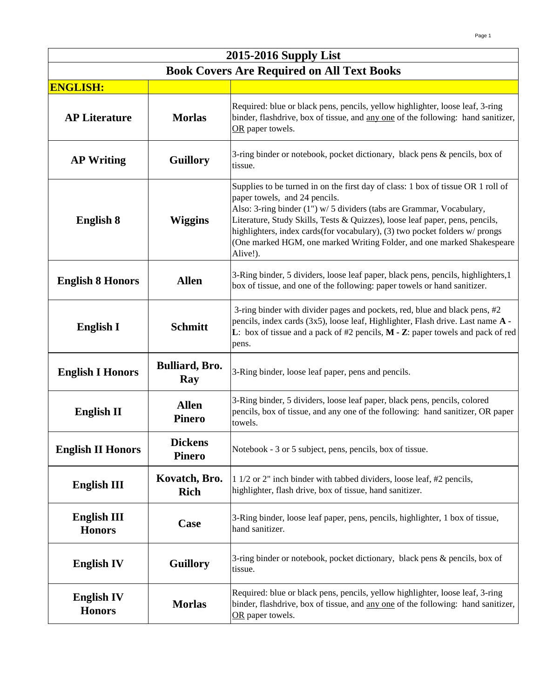| 2015-2016 Supply List                             |                                 |                                                                                                                                                                                                                                                                                                                                                                                                                                                 |
|---------------------------------------------------|---------------------------------|-------------------------------------------------------------------------------------------------------------------------------------------------------------------------------------------------------------------------------------------------------------------------------------------------------------------------------------------------------------------------------------------------------------------------------------------------|
| <b>Book Covers Are Required on All Text Books</b> |                                 |                                                                                                                                                                                                                                                                                                                                                                                                                                                 |
| <b>ENGLISH:</b>                                   |                                 |                                                                                                                                                                                                                                                                                                                                                                                                                                                 |
| <b>AP Literature</b>                              | <b>Morlas</b>                   | Required: blue or black pens, pencils, yellow highlighter, loose leaf, 3-ring<br>binder, flashdrive, box of tissue, and any one of the following: hand sanitizer,<br>OR paper towels.                                                                                                                                                                                                                                                           |
| <b>AP Writing</b>                                 | <b>Guillory</b>                 | 3-ring binder or notebook, pocket dictionary, black pens & pencils, box of<br>tissue.                                                                                                                                                                                                                                                                                                                                                           |
| <b>English 8</b>                                  | <b>Wiggins</b>                  | Supplies to be turned in on the first day of class: 1 box of tissue OR 1 roll of<br>paper towels, and 24 pencils.<br>Also: 3-ring binder (1") w/ 5 dividers (tabs are Grammar, Vocabulary,<br>Literature, Study Skills, Tests & Quizzes), loose leaf paper, pens, pencils,<br>highlighters, index cards(for vocabulary), (3) two pocket folders w/ prongs<br>(One marked HGM, one marked Writing Folder, and one marked Shakespeare<br>Alive!). |
| <b>English 8 Honors</b>                           | <b>Allen</b>                    | 3-Ring binder, 5 dividers, loose leaf paper, black pens, pencils, highlighters, 1<br>box of tissue, and one of the following: paper towels or hand sanitizer.                                                                                                                                                                                                                                                                                   |
| <b>English I</b>                                  | <b>Schmitt</b>                  | 3-ring binder with divider pages and pockets, red, blue and black pens, #2<br>pencils, index cards (3x5), loose leaf, Highlighter, Flash drive. Last name A -<br>L: box of tissue and a pack of $#2$ pencils, $M - Z$ : paper towels and pack of red<br>pens.                                                                                                                                                                                   |
| <b>English I Honors</b>                           | <b>Bulliard</b> , Bro.<br>Ray   | 3-Ring binder, loose leaf paper, pens and pencils.                                                                                                                                                                                                                                                                                                                                                                                              |
| <b>English II</b>                                 | <b>Allen</b><br><b>Pinero</b>   | 3-Ring binder, 5 dividers, loose leaf paper, black pens, pencils, colored<br>pencils, box of tissue, and any one of the following: hand sanitizer, OR paper<br>towels.                                                                                                                                                                                                                                                                          |
| <b>English II Honors</b>                          | <b>Dickens</b><br><b>Pinero</b> | Notebook - 3 or 5 subject, pens, pencils, box of tissue.                                                                                                                                                                                                                                                                                                                                                                                        |
| <b>English III</b>                                | Kovatch, Bro.<br><b>Rich</b>    | 1 1/2 or 2" inch binder with tabbed dividers, loose leaf, #2 pencils,<br>highlighter, flash drive, box of tissue, hand sanitizer.                                                                                                                                                                                                                                                                                                               |
| <b>English III</b><br><b>Honors</b>               | Case                            | 3-Ring binder, loose leaf paper, pens, pencils, highlighter, 1 box of tissue,<br>hand sanitizer.                                                                                                                                                                                                                                                                                                                                                |
| <b>English IV</b>                                 | <b>Guillory</b>                 | 3-ring binder or notebook, pocket dictionary, black pens & pencils, box of<br>tissue.                                                                                                                                                                                                                                                                                                                                                           |
| <b>English IV</b><br><b>Honors</b>                | <b>Morlas</b>                   | Required: blue or black pens, pencils, yellow highlighter, loose leaf, 3-ring<br>binder, flashdrive, box of tissue, and any one of the following: hand sanitizer,<br>OR paper towels.                                                                                                                                                                                                                                                           |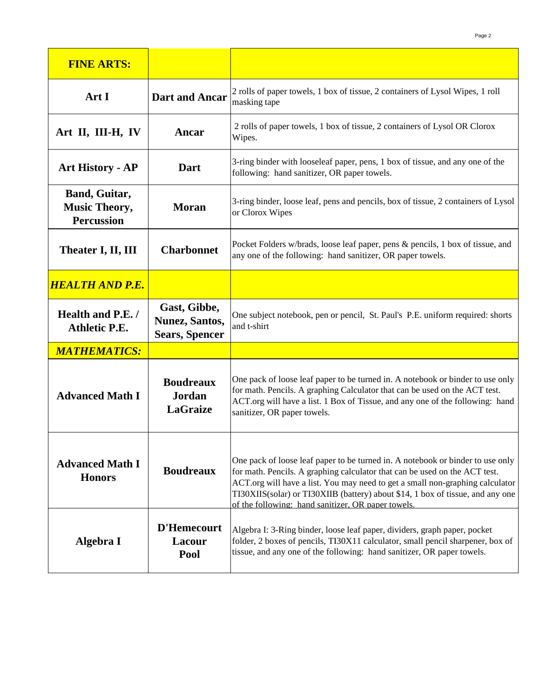| <b>FINE ARTS:</b>                                          |                                                                 |                                                                                                                                                                                                                                                                                                                                                                                       |
|------------------------------------------------------------|-----------------------------------------------------------------|---------------------------------------------------------------------------------------------------------------------------------------------------------------------------------------------------------------------------------------------------------------------------------------------------------------------------------------------------------------------------------------|
| Art I                                                      | <b>Dart and Ancar</b>                                           | 2 rolls of paper towels, 1 box of tissue, 2 containers of Lysol Wipes, 1 roll<br>masking tape                                                                                                                                                                                                                                                                                         |
| Art II, III-H, IV                                          | Ancar                                                           | 2 rolls of paper towels, 1 box of tissue, 2 containers of Lysol OR Clorox<br>Wipes.                                                                                                                                                                                                                                                                                                   |
| <b>Art History - AP</b>                                    | Dart                                                            | 3-ring binder with looseleaf paper, pens, 1 box of tissue, and any one of the<br>following: hand sanitizer, OR paper towels.                                                                                                                                                                                                                                                          |
| Band, Guitar,<br><b>Music Theory,</b><br><b>Percussion</b> | <b>Moran</b>                                                    | 3-ring binder, loose leaf, pens and pencils, box of tissue, 2 containers of Lysol<br>or Clorox Wipes                                                                                                                                                                                                                                                                                  |
| Theater I, II, III                                         | <b>Charbonnet</b>                                               | Pocket Folders w/brads, loose leaf paper, pens & pencils, 1 box of tissue, and<br>any one of the following: hand sanitizer, OR paper towels.                                                                                                                                                                                                                                          |
| <b>HEALTH AND P.E.</b>                                     |                                                                 |                                                                                                                                                                                                                                                                                                                                                                                       |
| Health and P.E./<br><b>Athletic P.E.</b>                   | Gast, Gibbe,<br><b>Nunez</b> , Santos,<br><b>Sears, Spencer</b> | One subject notebook, pen or pencil, St. Paul's P.E. uniform required: shorts<br>and t-shirt                                                                                                                                                                                                                                                                                          |
| <b>MATHEMATICS:</b>                                        |                                                                 |                                                                                                                                                                                                                                                                                                                                                                                       |
| <b>Advanced Math I</b>                                     | <b>Boudreaux</b><br>Jordan<br><b>LaGraize</b>                   | One pack of loose leaf paper to be turned in. A notebook or binder to use only<br>for math. Pencils. A graphing Calculator that can be used on the ACT test.<br>ACT.org will have a list. 1 Box of Tissue, and any one of the following: hand<br>sanitizer, OR paper towels.                                                                                                          |
| <b>Advanced Math I</b><br><b>Honors</b>                    | <b>Boudreaux</b>                                                | One pack of loose leaf paper to be turned in. A notebook or binder to use only<br>for math. Pencils. A graphing calculator that can be used on the ACT test.<br>ACT.org will have a list. You may need to get a small non-graphing calculator<br>TI30XIIS(solar) or TI30XIIB (battery) about \$14, 1 box of tissue, and any one<br>of the following: hand sanitizer. OR paper towels. |
| Algebra I                                                  | <b>D'Hemecourt</b><br><b>Lacour</b><br>Pool                     | Algebra I: 3-Ring binder, loose leaf paper, dividers, graph paper, pocket<br>folder, 2 boxes of pencils, TI30X11 calculator, small pencil sharpener, box of<br>tissue, and any one of the following: hand sanitizer, OR paper towels.                                                                                                                                                 |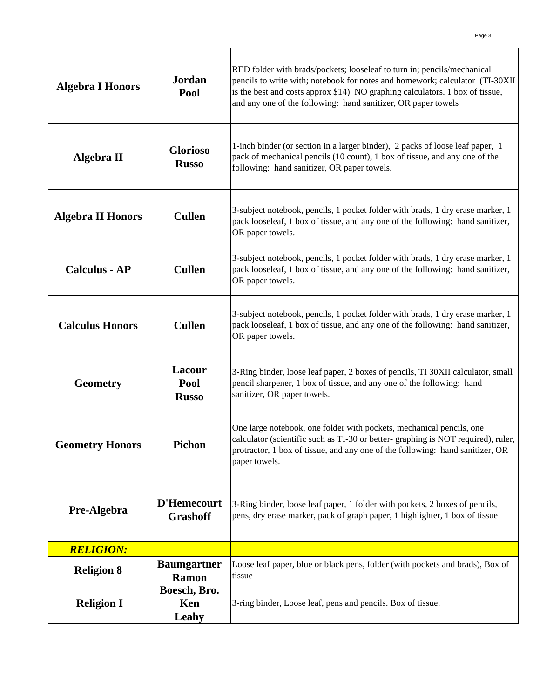| <b>Algebra I Honors</b>  | Jordan<br>Pool                     | RED folder with brads/pockets; looseleaf to turn in; pencils/mechanical<br>pencils to write with; notebook for notes and homework; calculator (TI-30XII<br>is the best and costs approx \$14) NO graphing calculators. 1 box of tissue,<br>and any one of the following: hand sanitizer, OR paper towels |
|--------------------------|------------------------------------|----------------------------------------------------------------------------------------------------------------------------------------------------------------------------------------------------------------------------------------------------------------------------------------------------------|
| <b>Algebra II</b>        | <b>Glorioso</b><br><b>Russo</b>    | 1-inch binder (or section in a larger binder), 2 packs of loose leaf paper, 1<br>pack of mechanical pencils (10 count), 1 box of tissue, and any one of the<br>following: hand sanitizer, OR paper towels.                                                                                               |
| <b>Algebra II Honors</b> | <b>Cullen</b>                      | 3-subject notebook, pencils, 1 pocket folder with brads, 1 dry erase marker, 1<br>pack looseleaf, 1 box of tissue, and any one of the following: hand sanitizer,<br>OR paper towels.                                                                                                                     |
| <b>Calculus - AP</b>     | <b>Cullen</b>                      | 3-subject notebook, pencils, 1 pocket folder with brads, 1 dry erase marker, 1<br>pack looseleaf, 1 box of tissue, and any one of the following: hand sanitizer,<br>OR paper towels.                                                                                                                     |
| <b>Calculus Honors</b>   | <b>Cullen</b>                      | 3-subject notebook, pencils, 1 pocket folder with brads, 1 dry erase marker, 1<br>pack looseleaf, 1 box of tissue, and any one of the following: hand sanitizer,<br>OR paper towels.                                                                                                                     |
| <b>Geometry</b>          | Lacour<br>Pool<br><b>Russo</b>     | 3-Ring binder, loose leaf paper, 2 boxes of pencils, TI 30XII calculator, small<br>pencil sharpener, 1 box of tissue, and any one of the following: hand<br>sanitizer, OR paper towels.                                                                                                                  |
| <b>Geometry Honors</b>   | <b>Pichon</b>                      | One large notebook, one folder with pockets, mechanical pencils, one<br>calculator (scientific such as TI-30 or better-graphing is NOT required), ruler,<br>protractor, 1 box of tissue, and any one of the following: hand sanitizer, OR<br>paper towels.                                               |
| Pre-Algebra              | D'Hemecourt<br><b>Grashoff</b>     | 3-Ring binder, loose leaf paper, 1 folder with pockets, 2 boxes of pencils,<br>pens, dry erase marker, pack of graph paper, 1 highlighter, 1 box of tissue                                                                                                                                               |
| <b>RELIGION:</b>         |                                    |                                                                                                                                                                                                                                                                                                          |
| <b>Religion 8</b>        | <b>Baumgartner</b><br><b>Ramon</b> | Loose leaf paper, blue or black pens, folder (with pockets and brads), Box of<br>tissue                                                                                                                                                                                                                  |
| <b>Religion I</b>        | Boesch, Bro.<br>Ken<br>Leahy       | 3-ring binder, Loose leaf, pens and pencils. Box of tissue.                                                                                                                                                                                                                                              |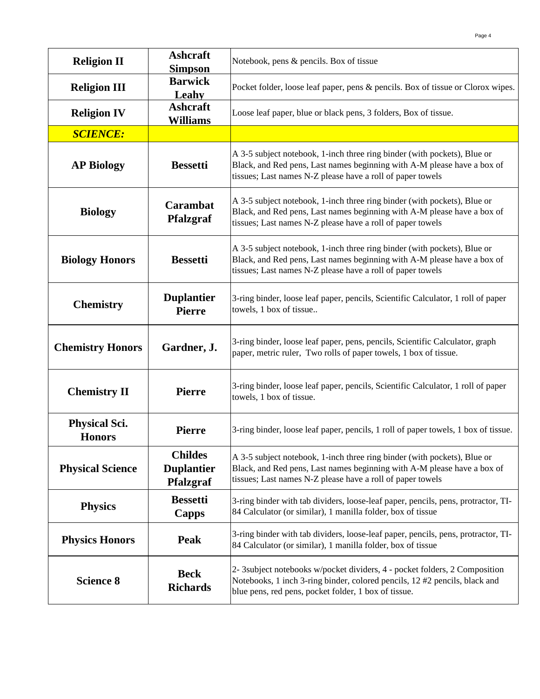| <b>Religion II</b>                    | <b>Ashcraft</b><br><b>Simpson</b>                | Notebook, pens & pencils. Box of tissue                                                                                                                                                                           |
|---------------------------------------|--------------------------------------------------|-------------------------------------------------------------------------------------------------------------------------------------------------------------------------------------------------------------------|
| <b>Religion III</b>                   | <b>Barwick</b><br>Leahy                          | Pocket folder, loose leaf paper, pens & pencils. Box of tissue or Clorox wipes.                                                                                                                                   |
| <b>Religion IV</b>                    | <b>Ashcraft</b><br><b>Williams</b>               | Loose leaf paper, blue or black pens, 3 folders, Box of tissue.                                                                                                                                                   |
| <b>SCIENCE:</b>                       |                                                  |                                                                                                                                                                                                                   |
| <b>AP Biology</b>                     | <b>Bessetti</b>                                  | A 3-5 subject notebook, 1-inch three ring binder (with pockets), Blue or<br>Black, and Red pens, Last names beginning with A-M please have a box of<br>tissues; Last names N-Z please have a roll of paper towels |
| <b>Biology</b>                        | <b>Carambat</b><br><b>Pfalzgraf</b>              | A 3-5 subject notebook, 1-inch three ring binder (with pockets), Blue or<br>Black, and Red pens, Last names beginning with A-M please have a box of<br>tissues; Last names N-Z please have a roll of paper towels |
| <b>Biology Honors</b>                 | <b>Bessetti</b>                                  | A 3-5 subject notebook, 1-inch three ring binder (with pockets), Blue or<br>Black, and Red pens, Last names beginning with A-M please have a box of<br>tissues; Last names N-Z please have a roll of paper towels |
| <b>Chemistry</b>                      | <b>Duplantier</b><br><b>Pierre</b>               | 3-ring binder, loose leaf paper, pencils, Scientific Calculator, 1 roll of paper<br>towels, 1 box of tissue                                                                                                       |
| <b>Chemistry Honors</b>               | Gardner, J.                                      | 3-ring binder, loose leaf paper, pens, pencils, Scientific Calculator, graph<br>paper, metric ruler, Two rolls of paper towels, 1 box of tissue.                                                                  |
| <b>Chemistry II</b>                   | <b>Pierre</b>                                    | 3-ring binder, loose leaf paper, pencils, Scientific Calculator, 1 roll of paper<br>towels, 1 box of tissue.                                                                                                      |
| <b>Physical Sci.</b><br><b>Honors</b> | <b>Pierre</b>                                    | 3-ring binder, loose leaf paper, pencils, 1 roll of paper towels, 1 box of tissue.                                                                                                                                |
| <b>Physical Science</b>               | <b>Childes</b><br><b>Duplantier</b><br>Pfalzgraf | A 3-5 subject notebook, 1-inch three ring binder (with pockets), Blue or<br>Black, and Red pens, Last names beginning with A-M please have a box of<br>tissues; Last names N-Z please have a roll of paper towels |
| <b>Physics</b>                        | <b>Bessetti</b><br>Capps                         | 3-ring binder with tab dividers, loose-leaf paper, pencils, pens, protractor, TI-<br>84 Calculator (or similar), 1 manilla folder, box of tissue                                                                  |
| <b>Physics Honors</b>                 | <b>Peak</b>                                      | 3-ring binder with tab dividers, loose-leaf paper, pencils, pens, protractor, TI-<br>84 Calculator (or similar), 1 manilla folder, box of tissue                                                                  |
| <b>Science 8</b>                      | <b>Beck</b><br><b>Richards</b>                   | 2- 3subject notebooks w/pocket dividers, 4 - pocket folders, 2 Composition<br>Notebooks, 1 inch 3-ring binder, colored pencils, 12 #2 pencils, black and<br>blue pens, red pens, pocket folder, 1 box of tissue.  |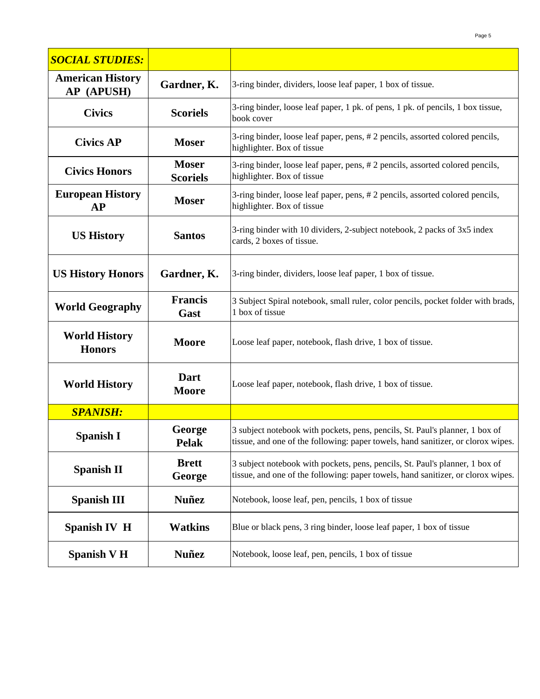| <b>SOCIAL STUDIES:</b>                |                                 |                                                                                                                                                                  |
|---------------------------------------|---------------------------------|------------------------------------------------------------------------------------------------------------------------------------------------------------------|
| <b>American History</b><br>AP (APUSH) | Gardner, K.                     | 3-ring binder, dividers, loose leaf paper, 1 box of tissue.                                                                                                      |
| <b>Civics</b>                         | <b>Scoriels</b>                 | 3-ring binder, loose leaf paper, 1 pk. of pens, 1 pk. of pencils, 1 box tissue,<br>book cover                                                                    |
| <b>Civics AP</b>                      | <b>Moser</b>                    | 3-ring binder, loose leaf paper, pens, #2 pencils, assorted colored pencils,<br>highlighter. Box of tissue                                                       |
| <b>Civics Honors</b>                  | <b>Moser</b><br><b>Scoriels</b> | 3-ring binder, loose leaf paper, pens, #2 pencils, assorted colored pencils,<br>highlighter. Box of tissue                                                       |
| <b>European History</b><br>AP         | <b>Moser</b>                    | 3-ring binder, loose leaf paper, pens, #2 pencils, assorted colored pencils,<br>highlighter. Box of tissue                                                       |
| <b>US History</b>                     | <b>Santos</b>                   | 3-ring binder with 10 dividers, 2-subject notebook, 2 packs of 3x5 index<br>cards, 2 boxes of tissue.                                                            |
| <b>US History Honors</b>              | Gardner, K.                     | 3-ring binder, dividers, loose leaf paper, 1 box of tissue.                                                                                                      |
| <b>World Geography</b>                | <b>Francis</b><br>Gast          | 3 Subject Spiral notebook, small ruler, color pencils, pocket folder with brads,<br>1 box of tissue                                                              |
| <b>World History</b><br><b>Honors</b> | <b>Moore</b>                    | Loose leaf paper, notebook, flash drive, 1 box of tissue.                                                                                                        |
| <b>World History</b>                  | Dart<br><b>Moore</b>            | Loose leaf paper, notebook, flash drive, 1 box of tissue.                                                                                                        |
| <b>SPANISH:</b>                       |                                 |                                                                                                                                                                  |
| Spanish I                             | George<br><b>Pelak</b>          | 3 subject notebook with pockets, pens, pencils, St. Paul's planner, 1 box of<br>tissue, and one of the following: paper towels, hand sanitizer, or clorox wipes. |
| <b>Spanish II</b>                     | <b>Brett</b><br>George          | 3 subject notebook with pockets, pens, pencils, St. Paul's planner, 1 box of<br>tissue, and one of the following: paper towels, hand sanitizer, or clorox wipes. |
| <b>Spanish III</b>                    | <b>Nuñez</b>                    | Notebook, loose leaf, pen, pencils, 1 box of tissue                                                                                                              |
| <b>Spanish IV H</b>                   | <b>Watkins</b>                  | Blue or black pens, 3 ring binder, loose leaf paper, 1 box of tissue                                                                                             |
| <b>Spanish V H</b>                    | <b>Nuñez</b>                    | Notebook, loose leaf, pen, pencils, 1 box of tissue                                                                                                              |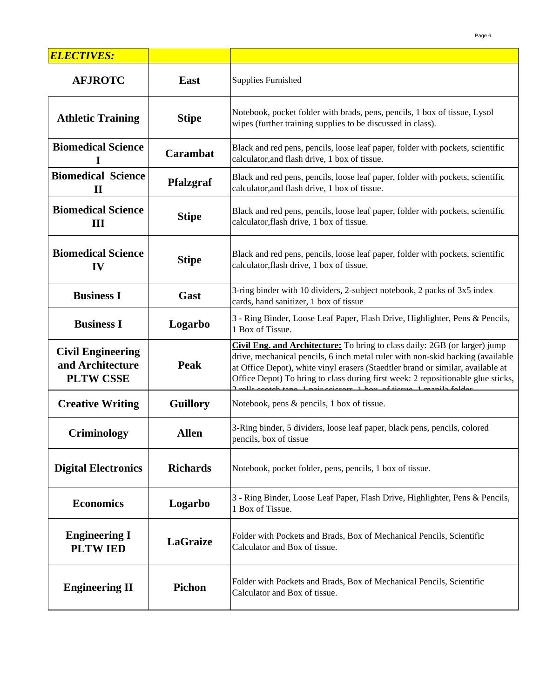| <b>ELECTIVES:</b>                                                |                  |                                                                                                                                                                                                                                                                                                                                                                                                         |
|------------------------------------------------------------------|------------------|---------------------------------------------------------------------------------------------------------------------------------------------------------------------------------------------------------------------------------------------------------------------------------------------------------------------------------------------------------------------------------------------------------|
| <b>AFJROTC</b>                                                   | <b>East</b>      | <b>Supplies Furnished</b>                                                                                                                                                                                                                                                                                                                                                                               |
| <b>Athletic Training</b>                                         | <b>Stipe</b>     | Notebook, pocket folder with brads, pens, pencils, 1 box of tissue, Lysol<br>wipes (further training supplies to be discussed in class).                                                                                                                                                                                                                                                                |
| <b>Biomedical Science</b><br>I                                   | Carambat         | Black and red pens, pencils, loose leaf paper, folder with pockets, scientific<br>calculator, and flash drive, 1 box of tissue.                                                                                                                                                                                                                                                                         |
| <b>Biomedical Science</b><br>$\mathbf{I}$                        | <b>Pfalzgraf</b> | Black and red pens, pencils, loose leaf paper, folder with pockets, scientific<br>calculator, and flash drive, 1 box of tissue.                                                                                                                                                                                                                                                                         |
| <b>Biomedical Science</b><br>Ш                                   | <b>Stipe</b>     | Black and red pens, pencils, loose leaf paper, folder with pockets, scientific<br>calculator, flash drive, 1 box of tissue.                                                                                                                                                                                                                                                                             |
| <b>Biomedical Science</b><br>IV                                  | <b>Stipe</b>     | Black and red pens, pencils, loose leaf paper, folder with pockets, scientific<br>calculator, flash drive, 1 box of tissue.                                                                                                                                                                                                                                                                             |
| <b>Business I</b>                                                | Gast             | 3-ring binder with 10 dividers, 2-subject notebook, 2 packs of 3x5 index<br>cards, hand sanitizer, 1 box of tissue                                                                                                                                                                                                                                                                                      |
| <b>Business I</b>                                                | Logarbo          | 3 - Ring Binder, Loose Leaf Paper, Flash Drive, Highlighter, Pens & Pencils,<br>1 Box of Tissue.                                                                                                                                                                                                                                                                                                        |
| <b>Civil Engineering</b><br>and Architecture<br><b>PLTW CSSE</b> | Peak             | Civil Eng. and Architecture: To bring to class daily: 2GB (or larger) jump<br>drive, mechanical pencils, 6 inch metal ruler with non-skid backing (available<br>at Office Depot), white vinyl erasers (Staedtler brand or similar, available at<br>Office Depot) To bring to class during first week: 2 repositionable glue sticks,<br>alle sootab tang 1 noix saissars 1 hay of tissue 1 manile folder |
| <b>Creative Writing</b>                                          | <b>Guillory</b>  | Notebook, pens & pencils, 1 box of tissue.                                                                                                                                                                                                                                                                                                                                                              |
| Criminology                                                      | <b>Allen</b>     | 3-Ring binder, 5 dividers, loose leaf paper, black pens, pencils, colored<br>pencils, box of tissue                                                                                                                                                                                                                                                                                                     |
| <b>Digital Electronics</b>                                       | <b>Richards</b>  | Notebook, pocket folder, pens, pencils, 1 box of tissue.                                                                                                                                                                                                                                                                                                                                                |
| <b>Economics</b>                                                 | Logarbo          | 3 - Ring Binder, Loose Leaf Paper, Flash Drive, Highlighter, Pens & Pencils,<br>1 Box of Tissue.                                                                                                                                                                                                                                                                                                        |
| <b>Engineering I</b><br><b>PLTWIED</b>                           | <b>LaGraize</b>  | Folder with Pockets and Brads, Box of Mechanical Pencils, Scientific<br>Calculator and Box of tissue.                                                                                                                                                                                                                                                                                                   |
| <b>Engineering II</b>                                            | Pichon           | Folder with Pockets and Brads, Box of Mechanical Pencils, Scientific<br>Calculator and Box of tissue.                                                                                                                                                                                                                                                                                                   |